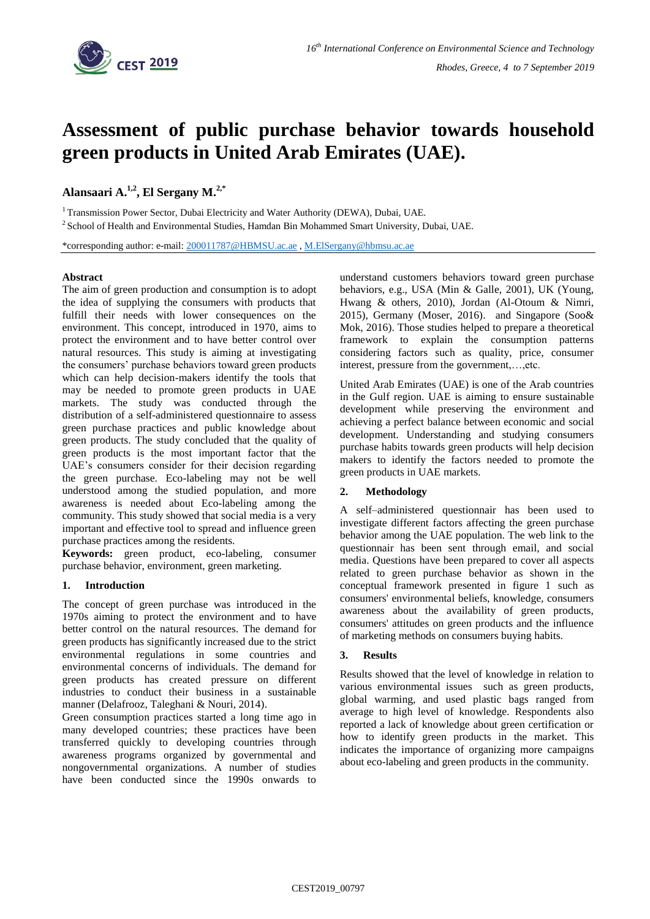

# **Assessment of public purchase behavior towards household green products in United Arab Emirates (UAE).**

## **Alansaari A. 1,2 , El Sergany M. 2,\***

 $1$ Transmission Power Sector, Dubai Electricity and Water Authority (DEWA), Dubai, UAE.

 $2$  School of Health and Environmental Studies, Hamdan Bin Mohammed Smart University, Dubai, UAE.

\*corresponding author: e-mail: [200011787@HBMSU.ac.ae](mailto:200011787@HBMSU.ac.aec) [, M.ElSergany@hbmsu.ac.ae](mailto:M.ElSergany@hbmsu.ac.ae)

## **Abstract**

The aim of green production and consumption is to adopt the idea of supplying the consumers with products that fulfill their needs with lower consequences on the environment. This concept, introduced in 1970, aims to protect the environment and to have better control over natural resources. This study is aiming at investigating the consumers' purchase behaviors toward green products which can help decision-makers identify the tools that may be needed to promote green products in UAE markets. The study was conducted through the distribution of a self-administered questionnaire to assess green purchase practices and public knowledge about green products. The study concluded that the quality of green products is the most important factor that the UAE's consumers consider for their decision regarding the green purchase. Eco-labeling may not be well understood among the studied population, and more awareness is needed about Eco-labeling among the community. This study showed that social media is a very important and effective tool to spread and influence green purchase practices among the residents.

**Keywords:** green product, eco-labeling, consumer purchase behavior, environment, green marketing.

## **1. Introduction**

The concept of green purchase was introduced in the 1970s aiming to protect the environment and to have better control on the natural resources. The demand for green products has significantly increased due to the strict environmental regulations in some countries and environmental concerns of individuals. The demand for green products has created pressure on different industries to conduct their business in a sustainable manner (Delafrooz, Taleghani & Nouri, 2014).

Green consumption practices started a long time ago in many developed countries; these practices have been transferred quickly to developing countries through awareness programs organized by governmental and nongovernmental organizations. A number of studies have been conducted since the 1990s onwards to understand customers behaviors toward green purchase behaviors, e.g., USA (Min & Galle, 2001), UK (Young, Hwang & others, 2010), Jordan (Al-Otoum & Nimri, 2015), Germany (Moser, 2016). and Singapore (Soo& Mok, 2016). Those studies helped to prepare a theoretical framework to explain the consumption patterns considering factors such as quality, price, consumer interest, pressure from the government,…,etc.

United Arab Emirates (UAE) is one of the Arab countries in the Gulf region. UAE is aiming to ensure sustainable development while preserving the environment and achieving a perfect balance between economic and social development. Understanding and studying consumers purchase habits towards green products will help decision makers to identify the factors needed to promote the green products in UAE markets.

## **2. Methodology**

A self–administered questionnair has been used to investigate different factors affecting the green purchase behavior among the UAE population. The web link to the questionnair has been sent through email, and social media. Questions have been prepared to cover all aspects related to green purchase behavior as shown in the conceptual framework presented in figure 1 such as consumers' environmental beliefs, knowledge, consumers awareness about the availability of green products, consumers' attitudes on green products and the influence of marketing methods on consumers buying habits.

## **3. Results**

Results showed that the level of knowledge in relation to various environmental issues such as green products, global warming, and used plastic bags ranged from average to high level of knowledge. Respondents also reported a lack of knowledge about green certification or how to identify green products in the market. This indicates the importance of organizing more campaigns about eco-labeling and green products in the community.